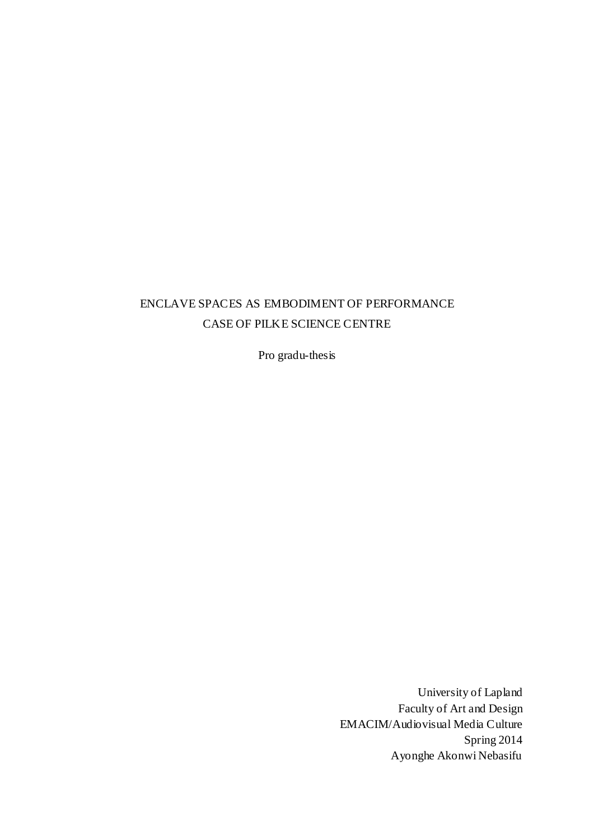## ENCLAVE SPACES AS EMBODIMENT OF PERFORMANCE CASE OF PILKE SCIENCE CENTRE

Pro gradu-thesis

University of Lapland Faculty of Art and Design EMACIM/Audiovisual Media Culture Spring 2014 Ayonghe Akonwi Nebasifu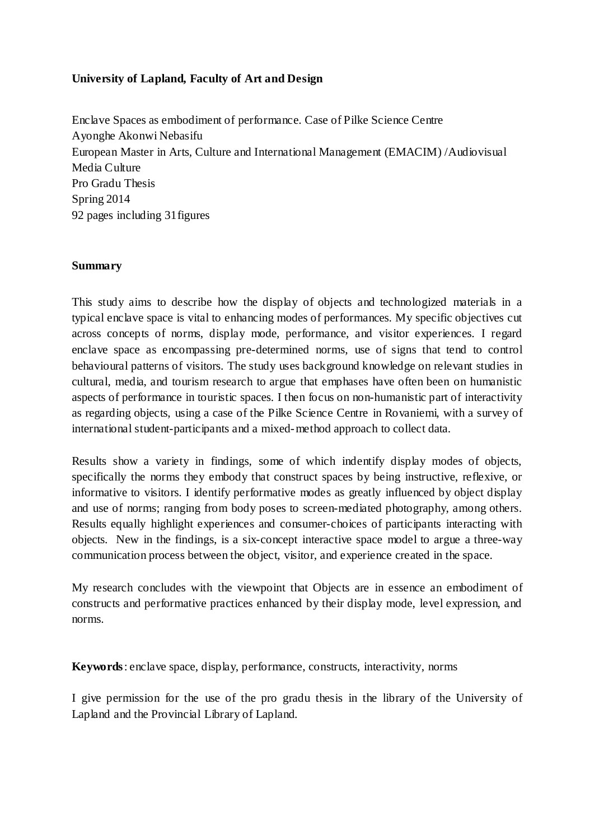## **University of Lapland, Faculty of Art and Design**

Enclave Spaces as embodiment of performance. Case of Pilke Science Centre Ayonghe Akonwi Nebasifu European Master in Arts, Culture and International Management (EMACIM) /Audiovisual Media Culture Pro Gradu Thesis Spring 2014 92 pages including 31figures

## **Summary**

This study aims to describe how the display of objects and technologized materials in a typical enclave space is vital to enhancing modes of performances. My specific objectives cut across concepts of norms, display mode, performance, and visitor experiences. I regard enclave space as encompassing pre-determined norms, use of signs that tend to control behavioural patterns of visitors. The study uses background knowledge on relevant studies in cultural, media, and tourism research to argue that emphases have often been on humanistic aspects of performance in touristic spaces. I then focus on non-humanistic part of interactivity as regarding objects, using a case of the Pilke Science Centre in Rovaniemi, with a survey of international student-participants and a mixed-method approach to collect data.

Results show a variety in findings, some of which indentify display modes of objects, specifically the norms they embody that construct spaces by being instructive, reflexive, or informative to visitors. I identify performative modes as greatly influenced by object display and use of norms; ranging from body poses to screen-mediated photography, among others. Results equally highlight experiences and consumer-choices of participants interacting with objects. New in the findings, is a six-concept interactive space model to argue a three-way communication process between the object, visitor, and experience created in the space.

My research concludes with the viewpoint that Objects are in essence an embodiment of constructs and performative practices enhanced by their display mode, level expression, and norms.

**Keywords**: enclave space, display, performance, constructs, interactivity, norms

I give permission for the use of the pro gradu thesis in the library of the University of Lapland and the Provincial Library of Lapland.